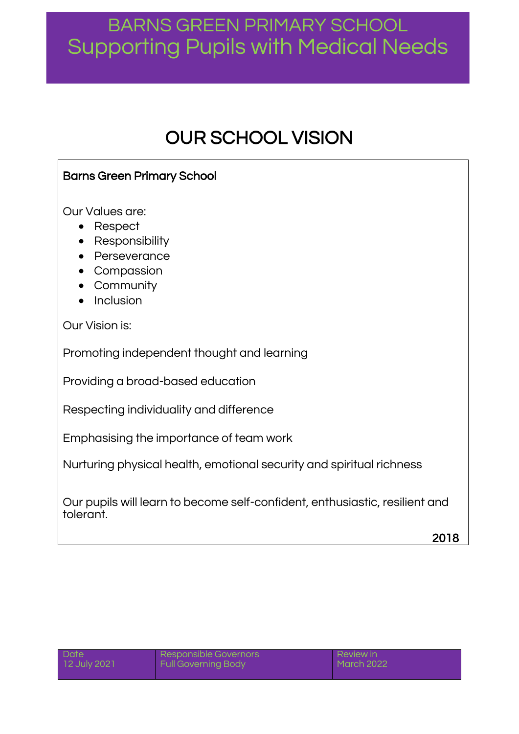## OUR SCHOOL VISION

## Barns Green Primary School

Our Values are:

- Respect
- Responsibility
- Perseverance
- Compassion
- Community
- Inclusion

Our Vision is:

Promoting independent thought and learning

Providing a broad-based education

Respecting individuality and difference

Emphasising the importance of team work

Nurturing physical health, emotional security and spiritual richness

Our pupils will learn to become self-confident, enthusiastic, resilient and tolerant.

2018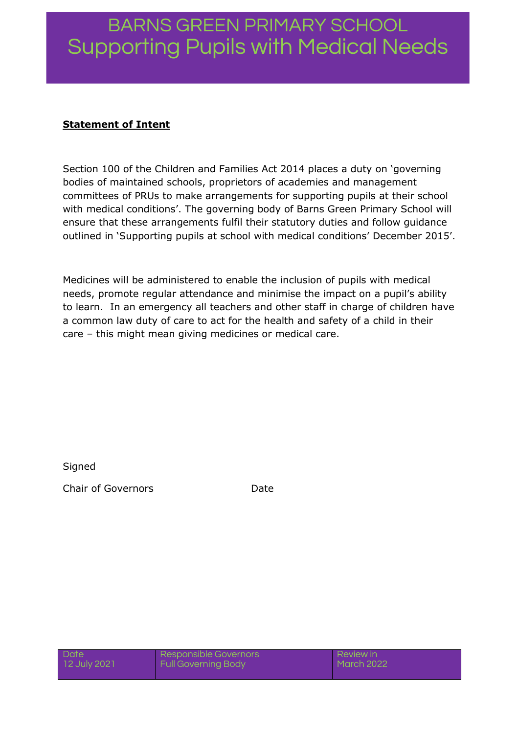### **Statement of Intent**

Section 100 of the Children and Families Act 2014 places a duty on 'governing bodies of maintained schools, proprietors of academies and management committees of PRUs to make arrangements for supporting pupils at their school with medical conditions'. The governing body of Barns Green Primary School will ensure that these arrangements fulfil their statutory duties and follow guidance outlined in 'Supporting pupils at school with medical conditions' December 2015'.

Medicines will be administered to enable the inclusion of pupils with medical needs, promote regular attendance and minimise the impact on a pupil's ability to learn. In an emergency all teachers and other staff in charge of children have a common law duty of care to act for the health and safety of a child in their care – this might mean giving medicines or medical care.

**Signed** 

Chair of Governors **Date**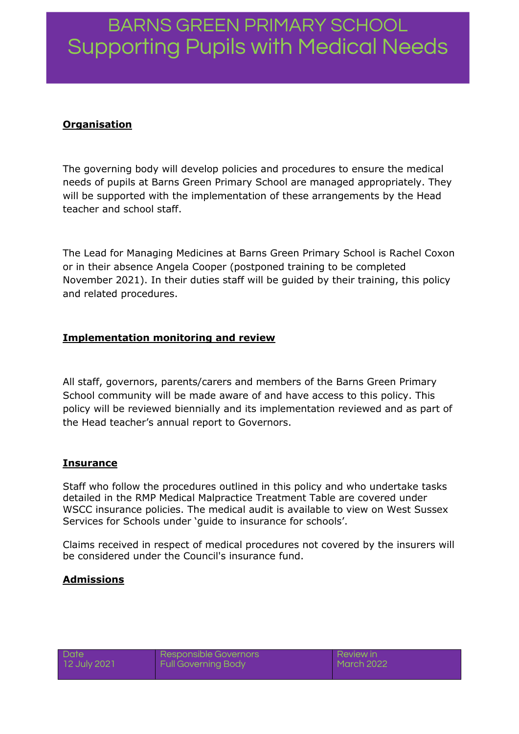## **Organisation**

The governing body will develop policies and procedures to ensure the medical needs of pupils at Barns Green Primary School are managed appropriately. They will be supported with the implementation of these arrangements by the Head teacher and school staff.

The Lead for Managing Medicines at Barns Green Primary School is Rachel Coxon or in their absence Angela Cooper (postponed training to be completed November 2021). In their duties staff will be guided by their training, this policy and related procedures.

### **Implementation monitoring and review**

All staff, governors, parents/carers and members of the Barns Green Primary School community will be made aware of and have access to this policy. This policy will be reviewed biennially and its implementation reviewed and as part of the Head teacher's annual report to Governors.

#### **Insurance**

Staff who follow the procedures outlined in this policy and who undertake tasks detailed in the RMP Medical Malpractice Treatment Table are covered under WSCC insurance policies. The medical audit is available to view on West Sussex Services for Schools under 'guide to insurance for schools'.

Claims received in respect of medical procedures not covered by the insurers will be considered under the Council's insurance fund.

### **Admissions**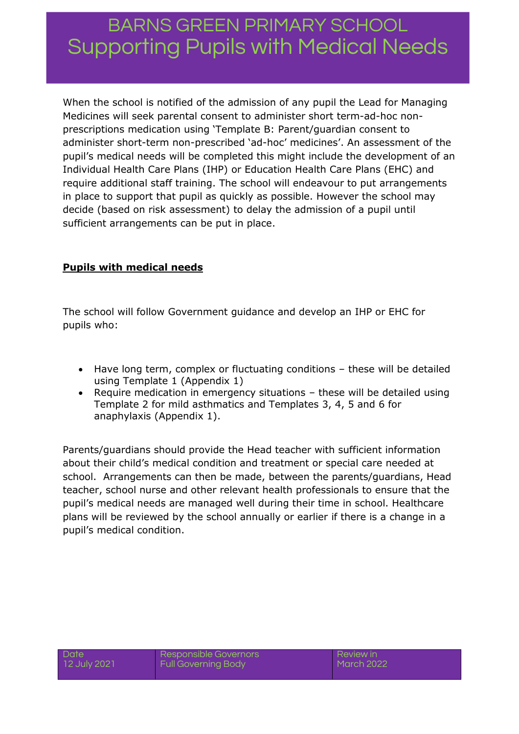When the school is notified of the admission of any pupil the Lead for Managing Medicines will seek parental consent to administer short term-ad-hoc nonprescriptions medication using 'Template B: Parent/guardian consent to administer short-term non-prescribed 'ad-hoc' medicines'. An assessment of the pupil's medical needs will be completed this might include the development of an Individual Health Care Plans (IHP) or Education Health Care Plans (EHC) and require additional staff training. The school will endeavour to put arrangements in place to support that pupil as quickly as possible. However the school may decide (based on risk assessment) to delay the admission of a pupil until sufficient arrangements can be put in place.

## **Pupils with medical needs**

The school will follow Government guidance and develop an IHP or EHC for pupils who:

- Have long term, complex or fluctuating conditions these will be detailed using Template 1 (Appendix 1)
- Require medication in emergency situations these will be detailed using Template 2 for mild asthmatics and Templates 3, 4, 5 and 6 for anaphylaxis (Appendix 1).

Parents/guardians should provide the Head teacher with sufficient information about their child's medical condition and treatment or special care needed at school. Arrangements can then be made, between the parents/guardians, Head teacher, school nurse and other relevant health professionals to ensure that the pupil's medical needs are managed well during their time in school. Healthcare plans will be reviewed by the school annually or earlier if there is a change in a pupil's medical condition.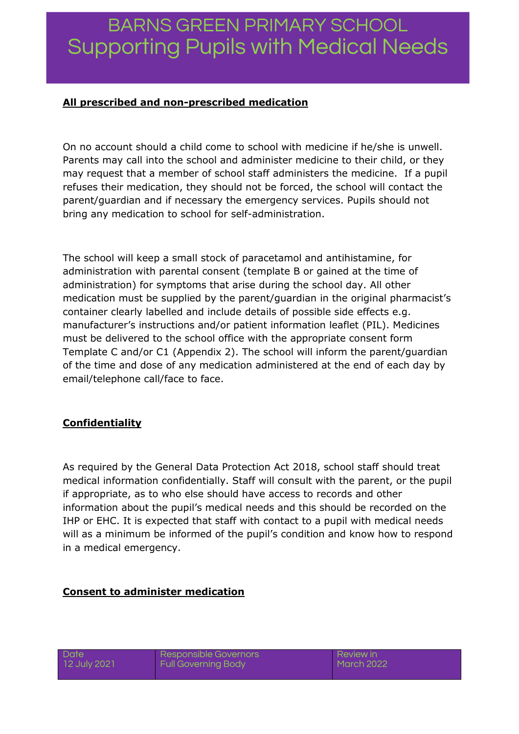### **All prescribed and non-prescribed medication**

On no account should a child come to school with medicine if he/she is unwell. Parents may call into the school and administer medicine to their child, or they may request that a member of school staff administers the medicine. If a pupil refuses their medication, they should not be forced, the school will contact the parent/guardian and if necessary the emergency services. Pupils should not bring any medication to school for self-administration.

The school will keep a small stock of paracetamol and antihistamine, for administration with parental consent (template B or gained at the time of administration) for symptoms that arise during the school day. All other medication must be supplied by the parent/guardian in the original pharmacist's container clearly labelled and include details of possible side effects e.g. manufacturer's instructions and/or patient information leaflet (PIL). Medicines must be delivered to the school office with the appropriate consent form Template C and/or C1 (Appendix 2). The school will inform the parent/guardian of the time and dose of any medication administered at the end of each day by email/telephone call/face to face.

### **Confidentiality**

As required by the General Data Protection Act 2018, school staff should treat medical information confidentially. Staff will consult with the parent, or the pupil if appropriate, as to who else should have access to records and other information about the pupil's medical needs and this should be recorded on the IHP or EHC. It is expected that staff with contact to a pupil with medical needs will as a minimum be informed of the pupil's condition and know how to respond in a medical emergency.

### **Consent to administer medication**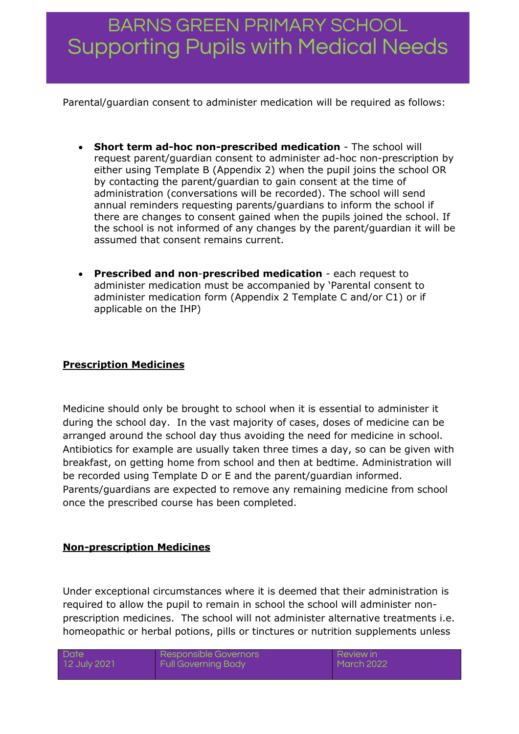Parental/guardian consent to administer medication will be required as follows:

- **Short term ad-hoc non-prescribed medication** The school will request parent/guardian consent to administer ad-hoc non-prescription by either using Template B (Appendix 2) when the pupil joins the school OR by contacting the parent/guardian to gain consent at the time of administration (conversations will be recorded). The school will send annual reminders requesting parents/guardians to inform the school if there are changes to consent gained when the pupils joined the school. If the school is not informed of any changes by the parent/guardian it will be assumed that consent remains current.
- **Prescribed and non**-**prescribed medication** each request to administer medication must be accompanied by 'Parental consent to administer medication form (Appendix 2 Template C and/or C1) or if applicable on the IHP)

### **Prescription Medicines**

Medicine should only be brought to school when it is essential to administer it during the school day. In the vast majority of cases, doses of medicine can be arranged around the school day thus avoiding the need for medicine in school. Antibiotics for example are usually taken three times a day, so can be given with breakfast, on getting home from school and then at bedtime. Administration will be recorded using Template D or E and the parent/guardian informed. Parents/guardians are expected to remove any remaining medicine from school once the prescribed course has been completed.

### **Non-prescription Medicines**

Under exceptional circumstances where it is deemed that their administration is required to allow the pupil to remain in school the school will administer nonprescription medicines. The school will not administer alternative treatments i.e. homeopathic or herbal potions, pills or tinctures or nutrition supplements unless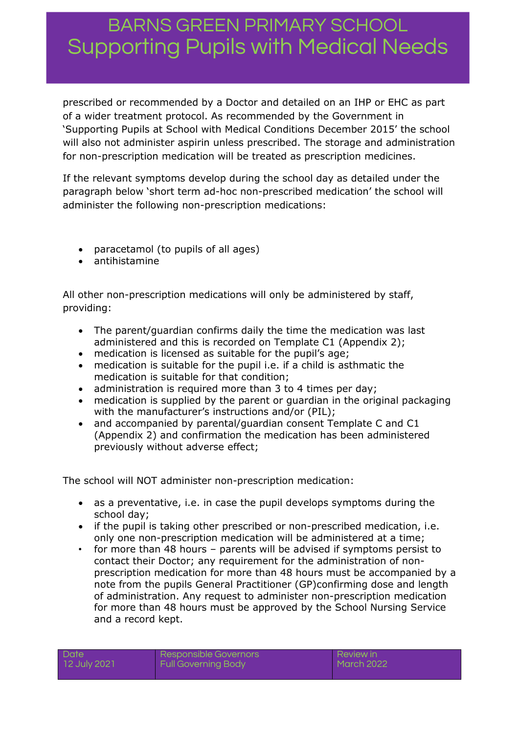prescribed or recommended by a Doctor and detailed on an IHP or EHC as part of a wider treatment protocol. As recommended by the Government in 'Supporting Pupils at School with Medical Conditions December 2015' the school will also not administer aspirin unless prescribed. The storage and administration for non-prescription medication will be treated as prescription medicines.

If the relevant symptoms develop during the school day as detailed under the paragraph below 'short term ad-hoc non-prescribed medication' the school will administer the following non-prescription medications:

- paracetamol (to pupils of all ages)
- antihistamine

All other non-prescription medications will only be administered by staff, providing:

- The parent/guardian confirms daily the time the medication was last administered and this is recorded on Template C1 (Appendix 2);
- medication is licensed as suitable for the pupil's age;
- medication is suitable for the pupil i.e. if a child is asthmatic the medication is suitable for that condition;
- administration is required more than 3 to 4 times per day;
- medication is supplied by the parent or guardian in the original packaging with the manufacturer's instructions and/or (PIL);
- and accompanied by parental/quardian consent Template C and C1 (Appendix 2) and confirmation the medication has been administered previously without adverse effect;

The school will NOT administer non-prescription medication:

- as a preventative, i.e. in case the pupil develops symptoms during the school day;
- if the pupil is taking other prescribed or non-prescribed medication, i.e. only one non-prescription medication will be administered at a time;
- for more than 48 hours parents will be advised if symptoms persist to contact their Doctor; any requirement for the administration of nonprescription medication for more than 48 hours must be accompanied by a note from the pupils General Practitioner (GP)confirming dose and length of administration. Any request to administer non-prescription medication for more than 48 hours must be approved by the School Nursing Service and a record kept.

|  | Date |              |
|--|------|--------------|
|  |      | 12 July 2021 |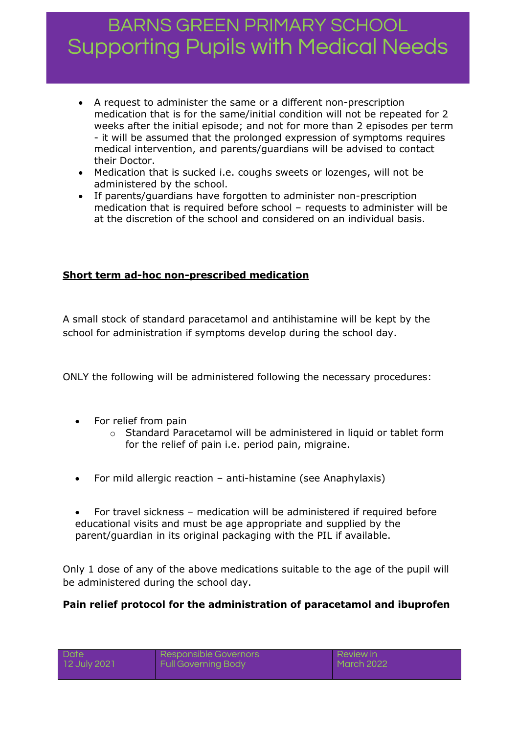- A request to administer the same or a different non-prescription medication that is for the same/initial condition will not be repeated for 2 weeks after the initial episode; and not for more than 2 episodes per term - it will be assumed that the prolonged expression of symptoms requires medical intervention, and parents/guardians will be advised to contact their Doctor.
- Medication that is sucked i.e. coughs sweets or lozenges, will not be administered by the school.
- If parents/guardians have forgotten to administer non-prescription medication that is required before school – requests to administer will be at the discretion of the school and considered on an individual basis.

## **Short term ad-hoc non-prescribed medication**

A small stock of standard paracetamol and antihistamine will be kept by the school for administration if symptoms develop during the school day.

ONLY the following will be administered following the necessary procedures:

- For relief from pain
	- $\circ$  Standard Paracetamol will be administered in liquid or tablet form for the relief of pain i.e. period pain, migraine.
- For mild allergic reaction anti-histamine (see Anaphylaxis)
- For travel sickness medication will be administered if required before educational visits and must be age appropriate and supplied by the parent/guardian in its original packaging with the PIL if available.

Only 1 dose of any of the above medications suitable to the age of the pupil will be administered during the school day.

### **Pain relief protocol for the administration of paracetamol and ibuprofen**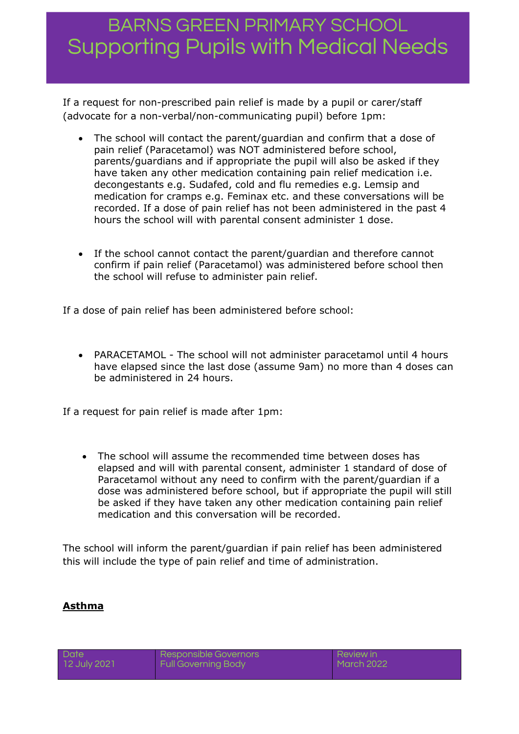If a request for non-prescribed pain relief is made by a pupil or carer/staff (advocate for a non-verbal/non-communicating pupil) before 1pm:

- The school will contact the parent/guardian and confirm that a dose of pain relief (Paracetamol) was NOT administered before school, parents/guardians and if appropriate the pupil will also be asked if they have taken any other medication containing pain relief medication i.e. decongestants e.g. Sudafed, cold and flu remedies e.g. Lemsip and medication for cramps e.g. Feminax etc. and these conversations will be recorded. If a dose of pain relief has not been administered in the past 4 hours the school will with parental consent administer 1 dose.
- If the school cannot contact the parent/guardian and therefore cannot confirm if pain relief (Paracetamol) was administered before school then the school will refuse to administer pain relief.

If a dose of pain relief has been administered before school:

 PARACETAMOL - The school will not administer paracetamol until 4 hours have elapsed since the last dose (assume 9am) no more than 4 doses can be administered in 24 hours.

If a request for pain relief is made after 1pm:

 The school will assume the recommended time between doses has elapsed and will with parental consent, administer 1 standard of dose of Paracetamol without any need to confirm with the parent/guardian if a dose was administered before school, but if appropriate the pupil will still be asked if they have taken any other medication containing pain relief medication and this conversation will be recorded.

The school will inform the parent/guardian if pain relief has been administered this will include the type of pain relief and time of administration.

### **Asthma**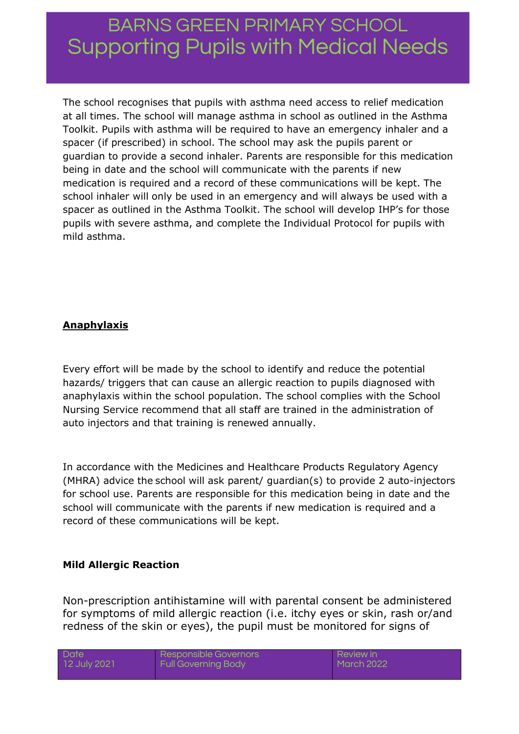The school recognises that pupils with asthma need access to relief medication at all times. The school will manage asthma in school as outlined in the Asthma Toolkit. Pupils with asthma will be required to have an emergency inhaler and a spacer (if prescribed) in school. The school may ask the pupils parent or guardian to provide a second inhaler. Parents are responsible for this medication being in date and the school will communicate with the parents if new medication is required and a record of these communications will be kept. The school inhaler will only be used in an emergency and will always be used with a spacer as outlined in the Asthma Toolkit. The school will develop IHP's for those pupils with severe asthma, and complete the Individual Protocol for pupils with mild asthma.

### **Anaphylaxis**

Every effort will be made by the school to identify and reduce the potential hazards/ triggers that can cause an allergic reaction to pupils diagnosed with anaphylaxis within the school population. The school complies with the School Nursing Service recommend that all staff are trained in the administration of auto injectors and that training is renewed annually.

In accordance with the Medicines and Healthcare Products Regulatory Agency (MHRA) advice the school will ask parent/ guardian(s) to provide 2 auto-injectors for school use. Parents are responsible for this medication being in date and the school will communicate with the parents if new medication is required and a record of these communications will be kept.

### **Mild Allergic Reaction**

Non-prescription antihistamine will with parental consent be administered for symptoms of mild allergic reaction (i.e. itchy eyes or skin, rash or/and redness of the skin or eyes), the pupil must be monitored for signs of

| Date |              |
|------|--------------|
|      | 12 July 2021 |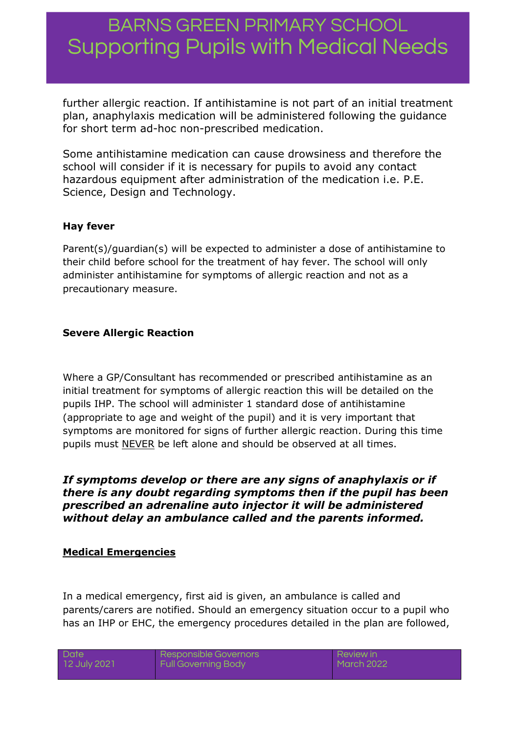further allergic reaction. If antihistamine is not part of an initial treatment plan, anaphylaxis medication will be administered following the guidance for short term ad-hoc non-prescribed medication.

Some antihistamine medication can cause drowsiness and therefore the school will consider if it is necessary for pupils to avoid any contact hazardous equipment after administration of the medication i.e. P.E. Science, Design and Technology.

#### **Hay fever**

Parent(s)/guardian(s) will be expected to administer a dose of antihistamine to their child before school for the treatment of hay fever. The school will only administer antihistamine for symptoms of allergic reaction and not as a precautionary measure.

#### **Severe Allergic Reaction**

Where a GP/Consultant has recommended or prescribed antihistamine as an initial treatment for symptoms of allergic reaction this will be detailed on the pupils IHP. The school will administer 1 standard dose of antihistamine (appropriate to age and weight of the pupil) and it is very important that symptoms are monitored for signs of further allergic reaction. During this time pupils must NEVER be left alone and should be observed at all times.

#### *If symptoms develop or there are any signs of anaphylaxis or if there is any doubt regarding symptoms then if the pupil has been prescribed an adrenaline auto injector it will be administered without delay an ambulance called and the parents informed.*

#### **Medical Emergencies**

In a medical emergency, first aid is given, an ambulance is called and parents/carers are notified. Should an emergency situation occur to a pupil who has an IHP or EHC, the emergency procedures detailed in the plan are followed,

| Date |              |
|------|--------------|
|      | 12 July 2021 |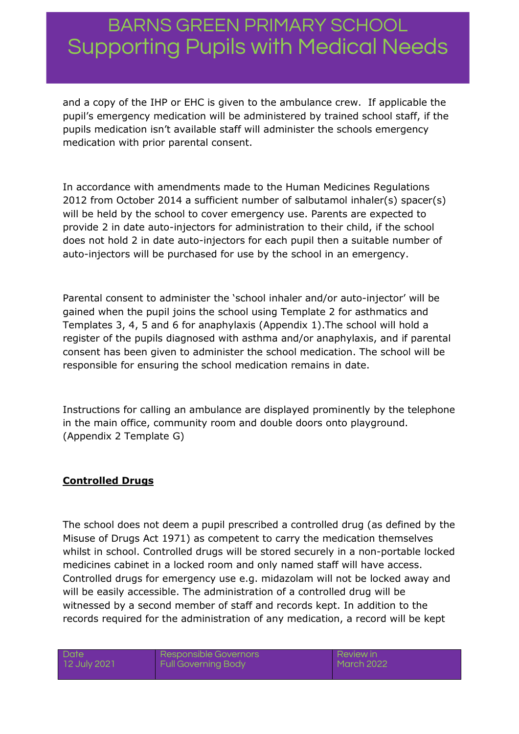and a copy of the IHP or EHC is given to the ambulance crew. If applicable the pupil's emergency medication will be administered by trained school staff, if the pupils medication isn't available staff will administer the schools emergency medication with prior parental consent.

In accordance with amendments made to the Human Medicines Regulations 2012 from October 2014 a sufficient number of salbutamol inhaler(s) spacer(s) will be held by the school to cover emergency use. Parents are expected to provide 2 in date auto-injectors for administration to their child, if the school does not hold 2 in date auto-injectors for each pupil then a suitable number of auto-injectors will be purchased for use by the school in an emergency.

Parental consent to administer the 'school inhaler and/or auto-injector' will be gained when the pupil joins the school using Template 2 for asthmatics and Templates 3, 4, 5 and 6 for anaphylaxis (Appendix 1).The school will hold a register of the pupils diagnosed with asthma and/or anaphylaxis, and if parental consent has been given to administer the school medication. The school will be responsible for ensuring the school medication remains in date.

Instructions for calling an ambulance are displayed prominently by the telephone in the main office, community room and double doors onto playground. (Appendix 2 Template G)

### **Controlled Drugs**

The school does not deem a pupil prescribed a controlled drug (as defined by the Misuse of Drugs Act 1971) as competent to carry the medication themselves whilst in school. Controlled drugs will be stored securely in a non-portable locked medicines cabinet in a locked room and only named staff will have access. Controlled drugs for emergency use e.g. midazolam will not be locked away and will be easily accessible. The administration of a controlled drug will be witnessed by a second member of staff and records kept. In addition to the records required for the administration of any medication, a record will be kept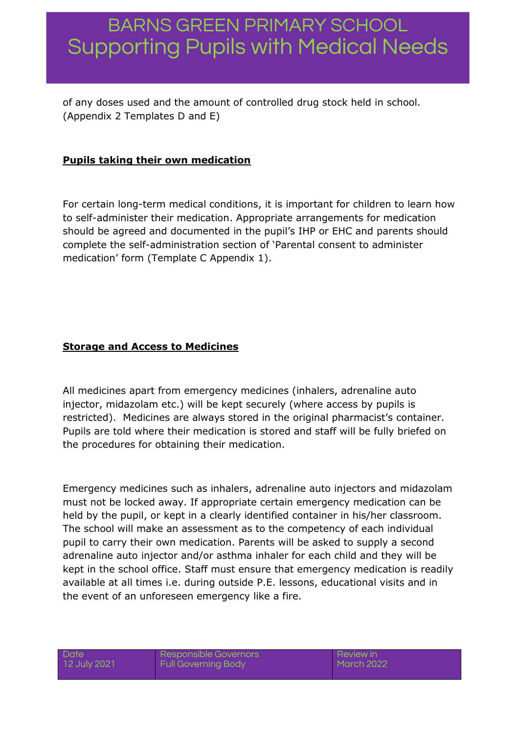of any doses used and the amount of controlled drug stock held in school. (Appendix 2 Templates D and E)

## **Pupils taking their own medication**

For certain long-term medical conditions, it is important for children to learn how to self-administer their medication. Appropriate arrangements for medication should be agreed and documented in the pupil's IHP or EHC and parents should complete the self-administration section of 'Parental consent to administer medication' form (Template C Appendix 1).

## **Storage and Access to Medicines**

All medicines apart from emergency medicines (inhalers, adrenaline auto injector, midazolam etc.) will be kept securely (where access by pupils is restricted). Medicines are always stored in the original pharmacist's container. Pupils are told where their medication is stored and staff will be fully briefed on the procedures for obtaining their medication.

Emergency medicines such as inhalers, adrenaline auto injectors and midazolam must not be locked away. If appropriate certain emergency medication can be held by the pupil, or kept in a clearly identified container in his/her classroom. The school will make an assessment as to the competency of each individual pupil to carry their own medication. Parents will be asked to supply a second adrenaline auto injector and/or asthma inhaler for each child and they will be kept in the school office. Staff must ensure that emergency medication is readily available at all times i.e. during outside P.E. lessons, educational visits and in the event of an unforeseen emergency like a fire.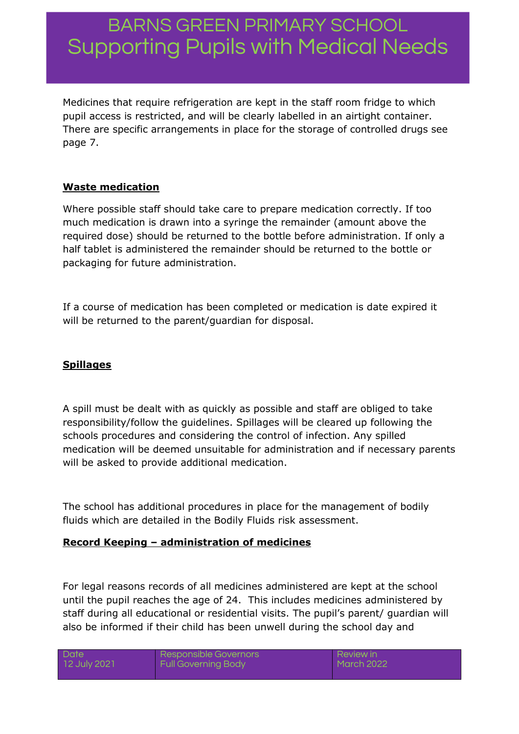Medicines that require refrigeration are kept in the staff room fridge to which pupil access is restricted, and will be clearly labelled in an airtight container. There are specific arrangements in place for the storage of controlled drugs see page 7.

### **Waste medication**

Where possible staff should take care to prepare medication correctly. If too much medication is drawn into a syringe the remainder (amount above the required dose) should be returned to the bottle before administration. If only a half tablet is administered the remainder should be returned to the bottle or packaging for future administration.

If a course of medication has been completed or medication is date expired it will be returned to the parent/guardian for disposal.

## **Spillages**

A spill must be dealt with as quickly as possible and staff are obliged to take responsibility/follow the guidelines. Spillages will be cleared up following the schools procedures and considering the control of infection. Any spilled medication will be deemed unsuitable for administration and if necessary parents will be asked to provide additional medication.

The school has additional procedures in place for the management of bodily fluids which are detailed in the Bodily Fluids risk assessment.

### **Record Keeping – administration of medicines**

For legal reasons records of all medicines administered are kept at the school until the pupil reaches the age of 24. This includes medicines administered by staff during all educational or residential visits. The pupil's parent/ guardian will also be informed if their child has been unwell during the school day and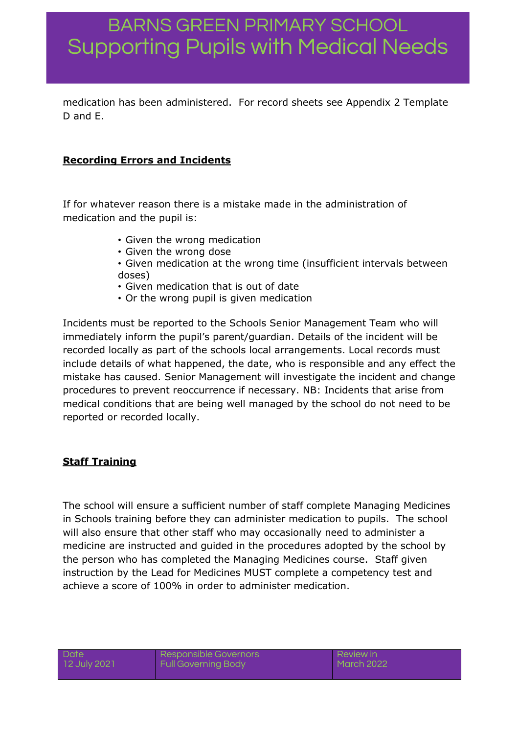medication has been administered. For record sheets see Appendix 2 Template D and E.

### **Recording Errors and Incidents**

If for whatever reason there is a mistake made in the administration of medication and the pupil is:

- Given the wrong medication
- Given the wrong dose
- Given medication at the wrong time (insufficient intervals between doses)
- Given medication that is out of date
- Or the wrong pupil is given medication

Incidents must be reported to the Schools Senior Management Team who will immediately inform the pupil's parent/guardian. Details of the incident will be recorded locally as part of the schools local arrangements. Local records must include details of what happened, the date, who is responsible and any effect the mistake has caused. Senior Management will investigate the incident and change procedures to prevent reoccurrence if necessary. NB: Incidents that arise from medical conditions that are being well managed by the school do not need to be reported or recorded locally.

### **Staff Training**

The school will ensure a sufficient number of staff complete Managing Medicines in Schools training before they can administer medication to pupils. The school will also ensure that other staff who may occasionally need to administer a medicine are instructed and guided in the procedures adopted by the school by the person who has completed the Managing Medicines course. Staff given instruction by the Lead for Medicines MUST complete a competency test and achieve a score of 100% in order to administer medication.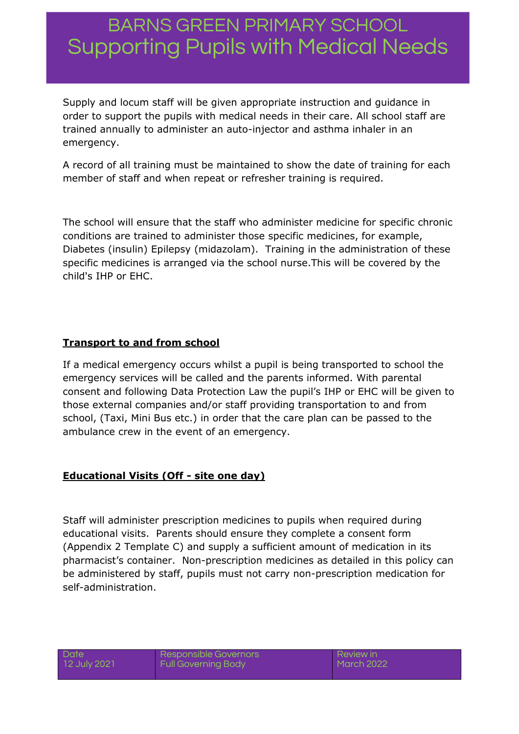Supply and locum staff will be given appropriate instruction and guidance in order to support the pupils with medical needs in their care. All school staff are trained annually to administer an auto-injector and asthma inhaler in an emergency.

A record of all training must be maintained to show the date of training for each member of staff and when repeat or refresher training is required.

The school will ensure that the staff who administer medicine for specific chronic conditions are trained to administer those specific medicines, for example, Diabetes (insulin) Epilepsy (midazolam). Training in the administration of these specific medicines is arranged via the school nurse.This will be covered by the child's IHP or EHC.

## **Transport to and from school**

If a medical emergency occurs whilst a pupil is being transported to school the emergency services will be called and the parents informed. With parental consent and following Data Protection Law the pupil's IHP or EHC will be given to those external companies and/or staff providing transportation to and from school, (Taxi, Mini Bus etc.) in order that the care plan can be passed to the ambulance crew in the event of an emergency.

### **Educational Visits (Off - site one day)**

Staff will administer prescription medicines to pupils when required during educational visits. Parents should ensure they complete a consent form (Appendix 2 Template C) and supply a sufficient amount of medication in its pharmacist's container. Non-prescription medicines as detailed in this policy can be administered by staff, pupils must not carry non-prescription medication for self-administration.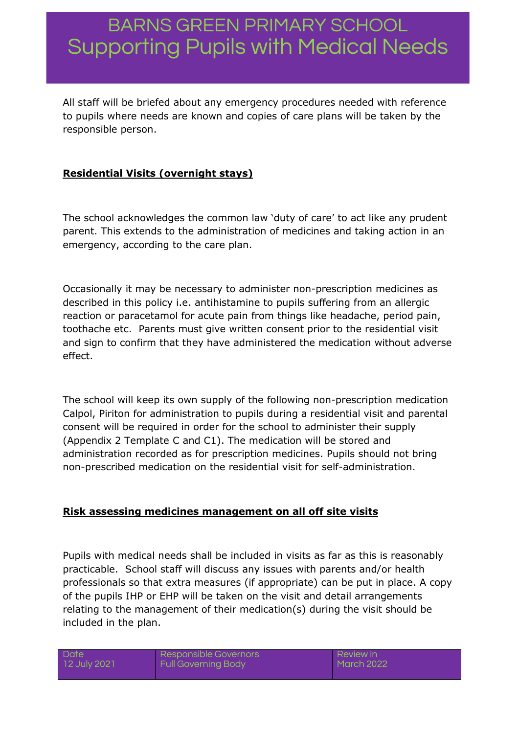All staff will be briefed about any emergency procedures needed with reference to pupils where needs are known and copies of care plans will be taken by the responsible person.

## **Residential Visits (overnight stays)**

The school acknowledges the common law 'duty of care' to act like any prudent parent. This extends to the administration of medicines and taking action in an emergency, according to the care plan.

Occasionally it may be necessary to administer non-prescription medicines as described in this policy i.e. antihistamine to pupils suffering from an allergic reaction or paracetamol for acute pain from things like headache, period pain, toothache etc. Parents must give written consent prior to the residential visit and sign to confirm that they have administered the medication without adverse effect.

The school will keep its own supply of the following non-prescription medication Calpol, Piriton for administration to pupils during a residential visit and parental consent will be required in order for the school to administer their supply (Appendix 2 Template C and C1). The medication will be stored and administration recorded as for prescription medicines. Pupils should not bring non-prescribed medication on the residential visit for self-administration.

### **Risk assessing medicines management on all off site visits**

Pupils with medical needs shall be included in visits as far as this is reasonably practicable. School staff will discuss any issues with parents and/or health professionals so that extra measures (if appropriate) can be put in place. A copy of the pupils IHP or EHP will be taken on the visit and detail arrangements relating to the management of their medication(s) during the visit should be included in the plan.

**Date** 12 July 2021 Responsible Governors Full Governing Body

Review in March 2022